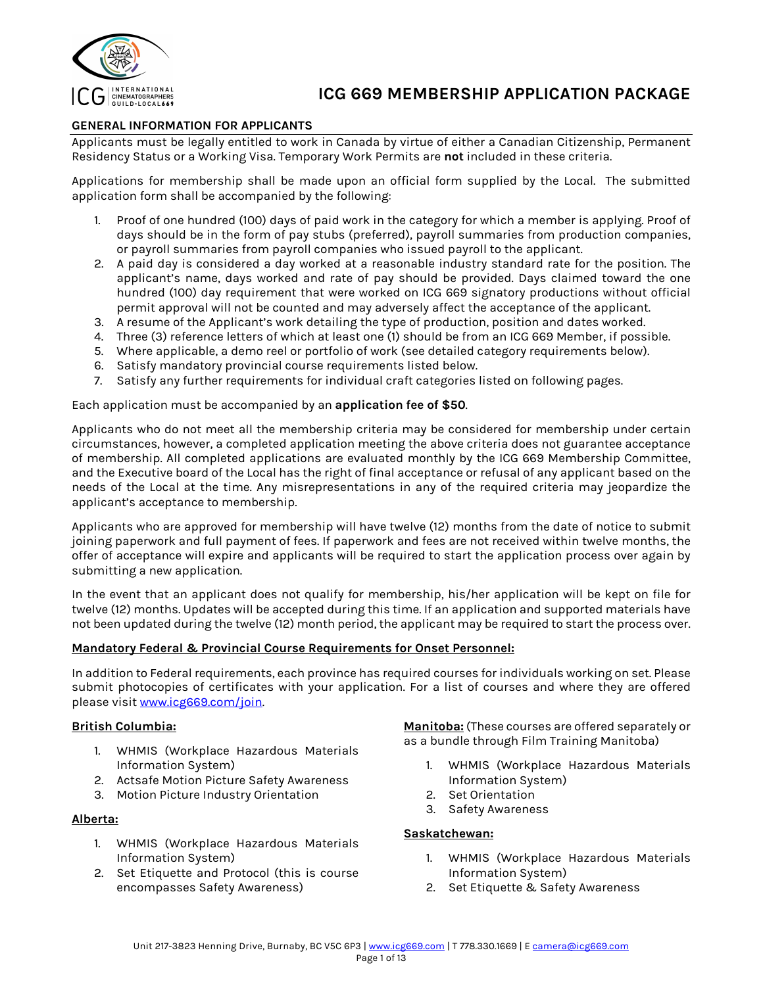

# **GENERAL INFORMATION FOR APPLICANTS**

Applicants must be legally entitled to work in Canada by virtue of either a Canadian Citizenship, Permanent Residency Status or a Working Visa. Temporary Work Permits are **not** included in these criteria.

Applications for membership shall be made upon an official form supplied by the Local. The submitted application form shall be accompanied by the following:

- 1. Proof of one hundred (100) days of paid work in the category for which a member is applying. Proof of days should be in the form of pay stubs (preferred), payroll summaries from production companies, or payroll summaries from payroll companies who issued payroll to the applicant.
- 2. A paid day is considered a day worked at a reasonable industry standard rate for the position. The applicant's name, days worked and rate of pay should be provided. Days claimed toward the one hundred (100) day requirement that were worked on ICG 669 signatory productions without official permit approval will not be counted and may adversely affect the acceptance of the applicant.
- 3. A resume of the Applicant's work detailing the type of production, position and dates worked.
- 4. Three (3) reference letters of which at least one (1) should be from an ICG 669 Member, if possible.
- 5. Where applicable, a demo reel or portfolio of work (see detailed category requirements below).
- 6. Satisfy mandatory provincial course requirements listed below.
- 7. Satisfy any further requirements for individual craft categories listed on following pages.

## Each application must be accompanied by an **application fee of \$50**.

Applicants who do not meet all the membership criteria may be considered for membership under certain circumstances, however, a completed application meeting the above criteria does not guarantee acceptance of membership. All completed applications are evaluated monthly by the ICG 669 Membership Committee, and the Executive board of the Local has the right of final acceptance or refusal of any applicant based on the needs of the Local at the time. Any misrepresentations in any of the required criteria may jeopardize the applicant's acceptance to membership.

Applicants who are approved for membership will have twelve (12) months from the date of notice to submit joining paperwork and full payment of fees. If paperwork and fees are not received within twelve months, the offer of acceptance will expire and applicants will be required to start the application process over again by submitting a new application.

In the event that an applicant does not qualify for membership, his/her application will be kept on file for twelve (12) months. Updates will be accepted during this time. If an application and supported materials have not been updated during the twelve (12) month period, the applicant may be required to start the process over.

## **Mandatory Federal & Provincial Course Requirements for Onset Personnel:**

In addition to Federal requirements, each province has required courses for individuals working on set. Please submit photocopies of certificates with your application. For a list of courses and where they are offered please visit www.icg669.com/join.

## **British Columbia:**

- 1. WHMIS (Workplace Hazardous Materials Information System)
- 2. Actsafe Motion Picture Safety Awareness
- 3. Motion Picture Industry Orientation

## **Alberta:**

- 1. WHMIS (Workplace Hazardous Materials Information System)
- 2. Set Etiquette and Protocol (this is course encompasses Safety Awareness)

**Manitoba:** (These courses are offered separately or as a bundle through Film Training Manitoba)

- 1. WHMIS (Workplace Hazardous Materials Information System)
- 2. Set Orientation
- 3. Safety Awareness

## **Saskatchewan:**

- 1. WHMIS (Workplace Hazardous Materials Information System)
- 2. Set Etiquette & Safety Awareness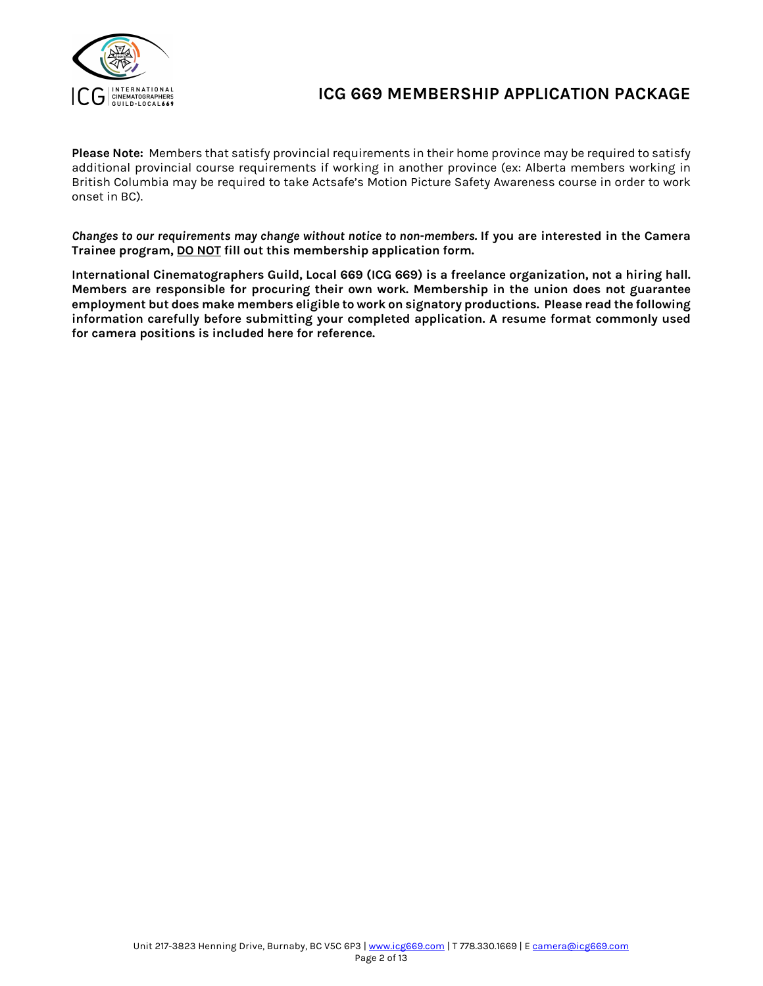

**Please Note:** Members that satisfy provincial requirements in their home province may be required to satisfy additional provincial course requirements if working in another province (ex: Alberta members working in British Columbia may be required to take Actsafe's Motion Picture Safety Awareness course in order to work onset in BC).

*Changes to our requirements may change without notice to non-members.* **If you are interested in the Camera Trainee program, DO NOT fill out this membership application form.**

**International Cinematographers Guild, Local 669 (ICG 669) is a freelance organization, not a hiring hall. Members are responsible for procuring their own work. Membership in the union does not guarantee employment but does make members eligible to work on signatory productions. Please read the following information carefully before submitting your completed application. A resume format commonly used for camera positions is included here for reference.**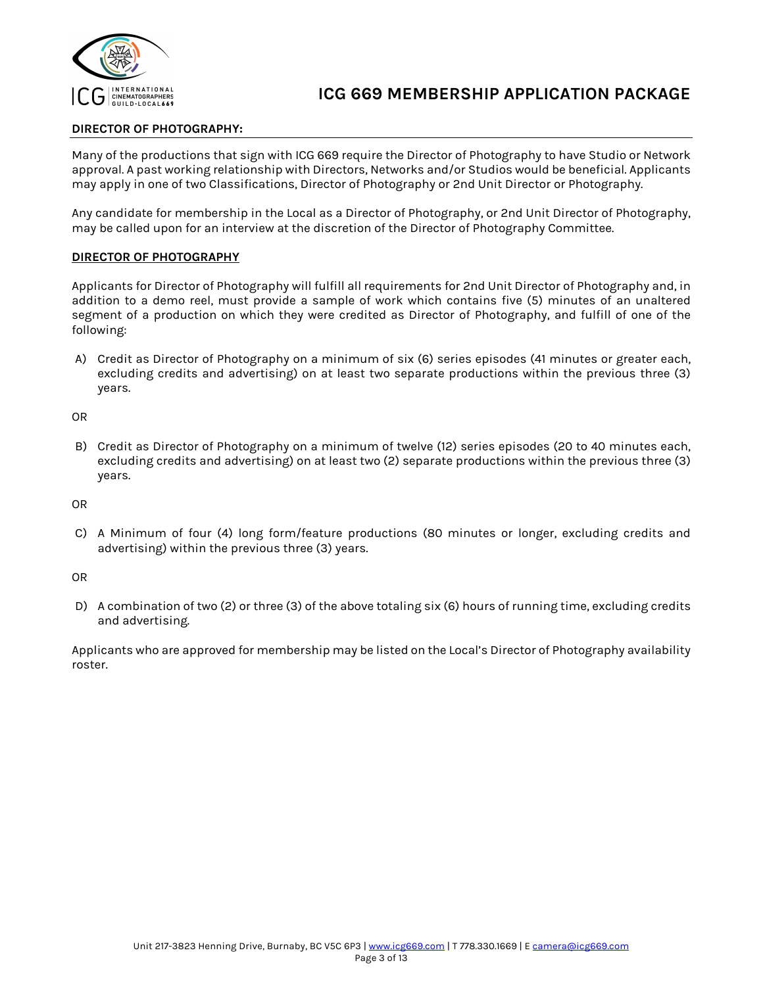

# **DIRECTOR OF PHOTOGRAPHY:**

Many of the productions that sign with ICG 669 require the Director of Photography to have Studio or Network approval. A past working relationship with Directors, Networks and/or Studios would be beneficial. Applicants may apply in one of two Classifications, Director of Photography or 2nd Unit Director or Photography.

Any candidate for membership in the Local as a Director of Photography, or 2nd Unit Director of Photography, may be called upon for an interview at the discretion of the Director of Photography Committee.

## **DIRECTOR OF PHOTOGRAPHY**

Applicants for Director of Photography will fulfill all requirements for 2nd Unit Director of Photography and, in addition to a demo reel, must provide a sample of work which contains five (5) minutes of an unaltered segment of a production on which they were credited as Director of Photography, and fulfill of one of the following:

A) Credit as Director of Photography on a minimum of six (6) series episodes (41 minutes or greater each, excluding credits and advertising) on at least two separate productions within the previous three (3) years.

OR

B) Credit as Director of Photography on a minimum of twelve (12) series episodes (20 to 40 minutes each, excluding credits and advertising) on at least two (2) separate productions within the previous three (3) years.

OR

C) A Minimum of four (4) long form/feature productions (80 minutes or longer, excluding credits and advertising) within the previous three (3) years.

OR

D) A combination of two (2) or three (3) of the above totaling six (6) hours of running time, excluding credits and advertising.

Applicants who are approved for membership may be listed on the Local's Director of Photography availability roster.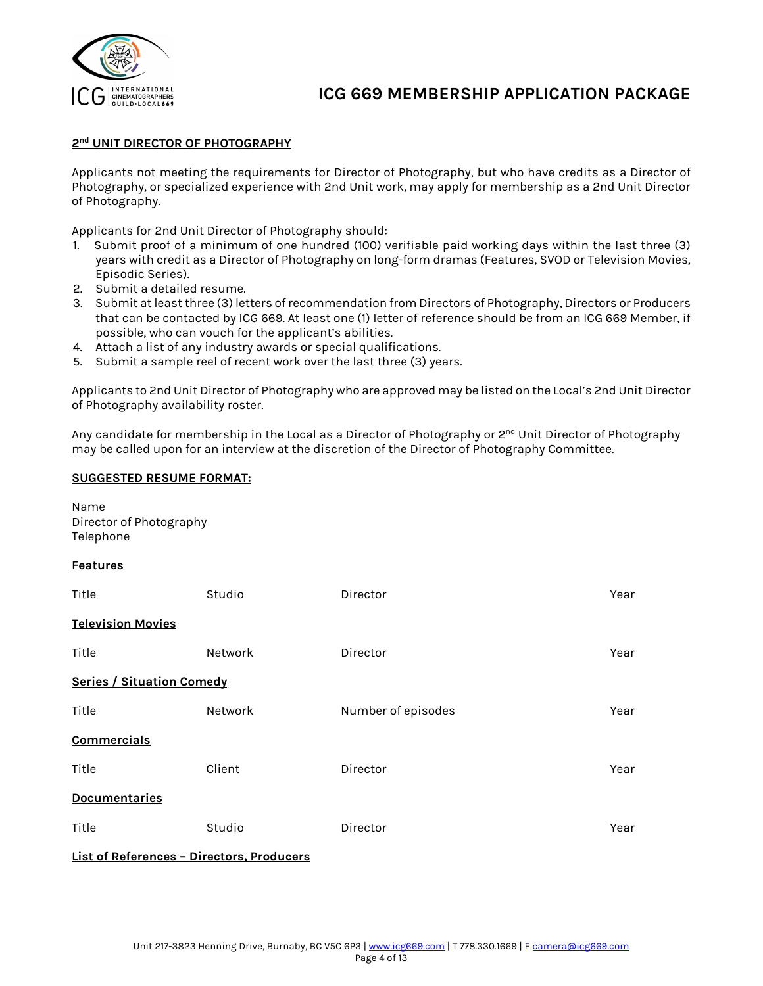

## **2nd UNIT DIRECTOR OF PHOTOGRAPHY**

Applicants not meeting the requirements for Director of Photography, but who have credits as a Director of Photography, or specialized experience with 2nd Unit work, may apply for membership as a 2nd Unit Director of Photography.

Applicants for 2nd Unit Director of Photography should:

- 1. Submit proof of a minimum of one hundred (100) verifiable paid working days within the last three (3) years with credit as a Director of Photography on long-form dramas (Features, SVOD or Television Movies, Episodic Series).
- 2. Submit a detailed resume.
- 3. Submit at least three (3) letters of recommendation from Directors of Photography, Directors or Producers that can be contacted by ICG 669. At least one (1) letter of reference should be from an ICG 669 Member, if possible, who can vouch for the applicant's abilities.
- 4. Attach a list of any industry awards or special qualifications.
- 5. Submit a sample reel of recent work over the last three (3) years.

Applicants to 2nd Unit Director of Photography who are approved may be listed on the Local's 2nd Unit Director of Photography availability roster.

Any candidate for membership in the Local as a Director of Photography or 2<sup>nd</sup> Unit Director of Photography may be called upon for an interview at the discretion of the Director of Photography Committee.

## **SUGGESTED RESUME FORMAT:**

| Name<br>Director of Photography<br>Telephone |         |                    |      |  |
|----------------------------------------------|---------|--------------------|------|--|
| <b>Features</b>                              |         |                    |      |  |
| Title                                        | Studio  | Director           | Year |  |
| <b>Television Movies</b>                     |         |                    |      |  |
| Title                                        | Network | Director           | Year |  |
| <b>Series / Situation Comedy</b>             |         |                    |      |  |
| Title                                        | Network | Number of episodes | Year |  |
| <b>Commercials</b>                           |         |                    |      |  |
| Title                                        | Client  | Director           | Year |  |
| <b>Documentaries</b>                         |         |                    |      |  |
| Title                                        | Studio  | Director           | Year |  |
|                                              |         |                    |      |  |

**List of References – Directors, Producers**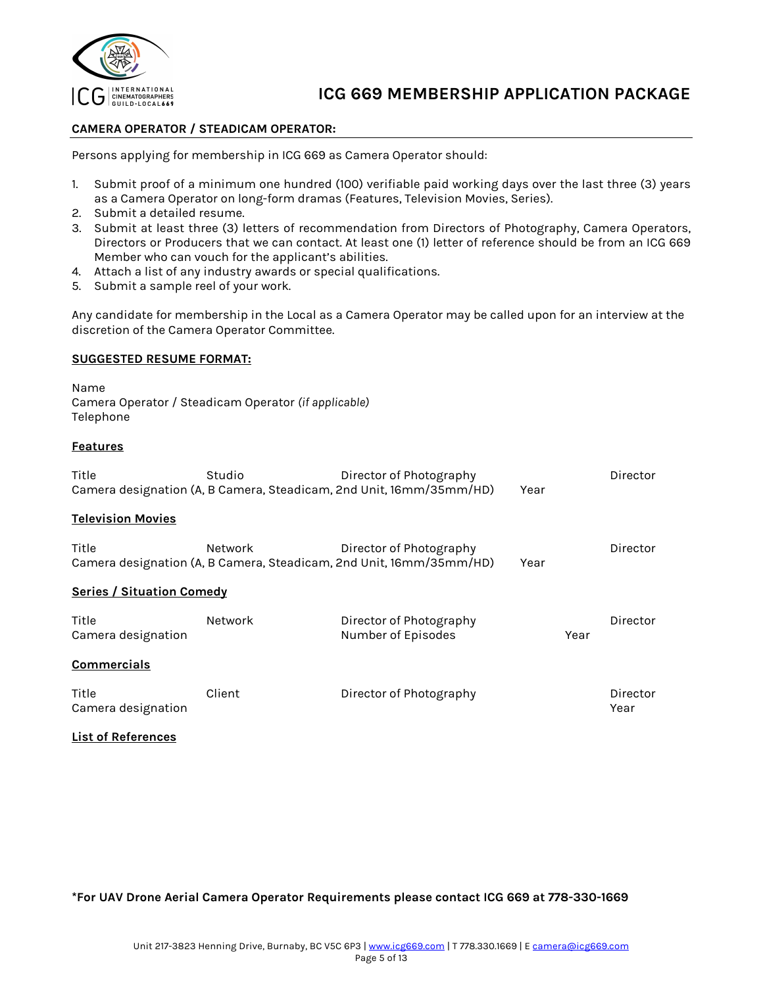

## **CAMERA OPERATOR / STEADICAM OPERATOR:**

Persons applying for membership in ICG 669 as Camera Operator should:

- 1. Submit proof of a minimum one hundred (100) verifiable paid working days over the last three (3) years as a Camera Operator on long-form dramas (Features, Television Movies, Series).
- 2. Submit a detailed resume.
- 3. Submit at least three (3) letters of recommendation from Directors of Photography, Camera Operators, Directors or Producers that we can contact. At least one (1) letter of reference should be from an ICG 669 Member who can vouch for the applicant's abilities.
- 4. Attach a list of any industry awards or special qualifications.
- 5. Submit a sample reel of your work.

Any candidate for membership in the Local as a Camera Operator may be called upon for an interview at the discretion of the Camera Operator Committee.

#### **SUGGESTED RESUME FORMAT:**

Name Camera Operator / Steadicam Operator *(if applicable)* Telephone

#### **Features**

| Title                            | Studio         | Director of Photography                                                                        |      |      | Director |
|----------------------------------|----------------|------------------------------------------------------------------------------------------------|------|------|----------|
|                                  |                | Camera designation (A, B Camera, Steadicam, 2nd Unit, 16mm/35mm/HD)                            | Year |      |          |
| <b>Television Movies</b>         |                |                                                                                                |      |      |          |
| Title                            | <b>Network</b> | Director of Photography<br>Camera designation (A, B Camera, Steadicam, 2nd Unit, 16mm/35mm/HD) | Year |      | Director |
|                                  |                |                                                                                                |      |      |          |
| <b>Series / Situation Comedy</b> |                |                                                                                                |      |      |          |
| Title                            | <b>Network</b> | Director of Photography                                                                        |      |      | Director |
| Camera designation               |                | Number of Episodes                                                                             |      | Year |          |
| <b>Commercials</b>               |                |                                                                                                |      |      |          |
| Title                            | Client         | Director of Photography                                                                        |      |      | Director |
| Camera designation               |                |                                                                                                |      |      | Year     |

#### **List of References**

**\*For UAV Drone Aerial Camera Operator Requirements please contact ICG 669 at 778-330-1669**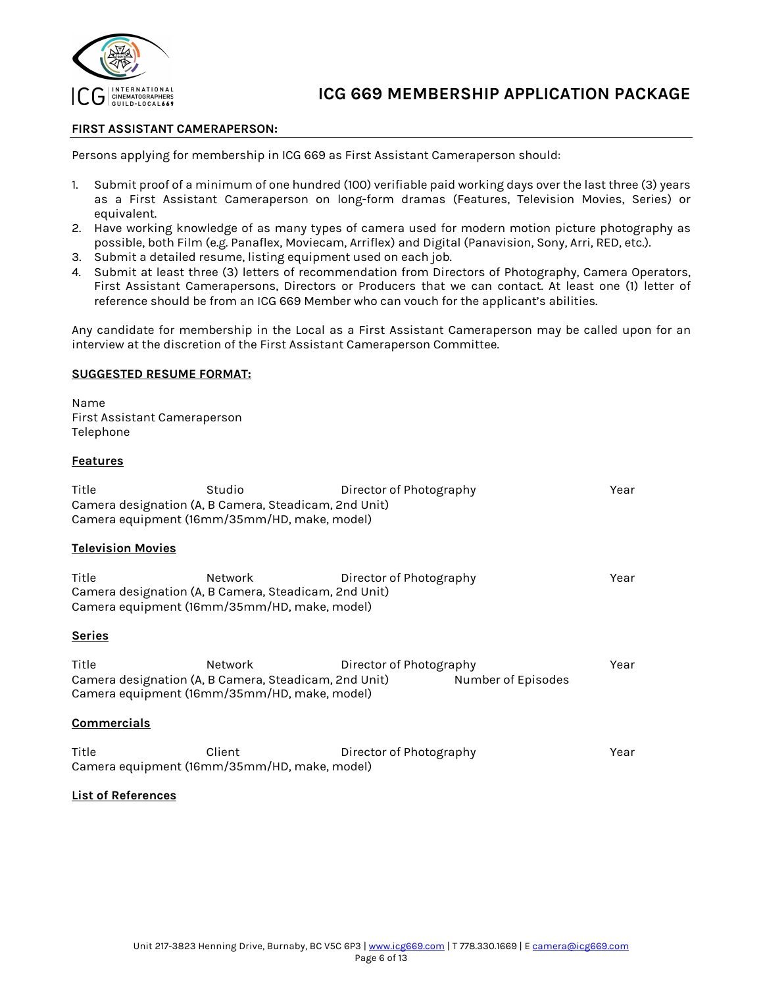

## **FIRST ASSISTANT CAMERAPERSON:**

Persons applying for membership in ICG 669 as First Assistant Cameraperson should:

- 1. Submit proof of a minimum of one hundred (100) verifiable paid working days over the last three (3) years as a First Assistant Cameraperson on long-form dramas (Features, Television Movies, Series) or equivalent.
- 2. Have working knowledge of as many types of camera used for modern motion picture photography as possible, both Film (e.g. Panaflex, Moviecam, Arriflex) and Digital (Panavision, Sony, Arri, RED, etc.).
- 3. Submit a detailed resume, listing equipment used on each job.
- 4. Submit at least three (3) letters of recommendation from Directors of Photography, Camera Operators, First Assistant Camerapersons, Directors or Producers that we can contact. At least one (1) letter of reference should be from an ICG 669 Member who can vouch for the applicant's abilities.

Any candidate for membership in the Local as a First Assistant Cameraperson may be called upon for an interview at the discretion of the First Assistant Cameraperson Committee.

#### **SUGGESTED RESUME FORMAT:**

Name First Assistant Cameraperson Telephone

## **Features**

| Title                    | Studio <b>computer</b> control<br>Camera designation (A, B Camera, Steadicam, 2nd Unit)<br>Camera equipment (16mm/35mm/HD, make, model) | Director of Photography |                    | Year |
|--------------------------|-----------------------------------------------------------------------------------------------------------------------------------------|-------------------------|--------------------|------|
| <b>Television Movies</b> |                                                                                                                                         |                         |                    |      |
| Title                    | Network<br>Camera designation (A, B Camera, Steadicam, 2nd Unit)<br>Camera equipment (16mm/35mm/HD, make, model)                        | Director of Photography |                    | Year |
| <b>Series</b>            |                                                                                                                                         |                         |                    |      |
| Title                    | Network <b>Network</b><br>Camera designation (A, B Camera, Steadicam, 2nd Unit)<br>Camera equipment (16mm/35mm/HD, make, model)         | Director of Photography | Number of Episodes | Year |
| <b>Commercials</b>       |                                                                                                                                         |                         |                    |      |
| Title                    | Client<br>Camera equipment (16mm/35mm/HD, make, model)                                                                                  | Director of Photography |                    | Year |

#### **List of References**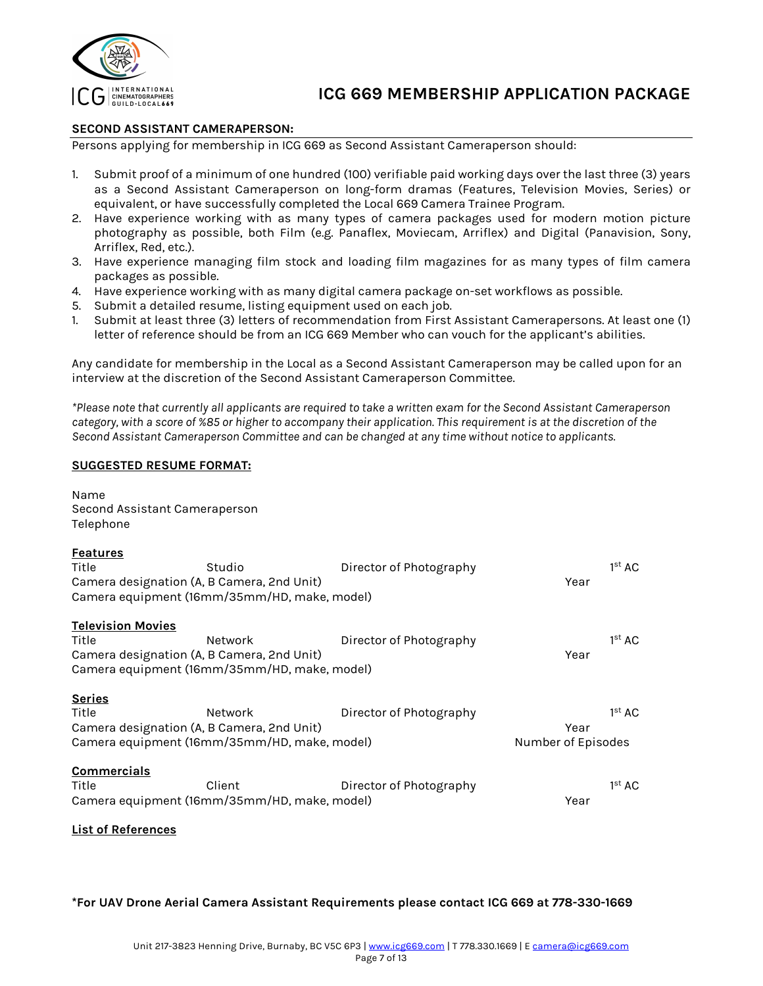

## **SECOND ASSISTANT CAMERAPERSON:**

Persons applying for membership in ICG 669 as Second Assistant Cameraperson should:

- 1. Submit proof of a minimum of one hundred (100) verifiable paid working days over the last three (3) years as a Second Assistant Cameraperson on long-form dramas (Features, Television Movies, Series) or equivalent, or have successfully completed the Local 669 Camera Trainee Program.
- 2. Have experience working with as many types of camera packages used for modern motion picture photography as possible, both Film (e.g. Panaflex, Moviecam, Arriflex) and Digital (Panavision, Sony, Arriflex, Red, etc.).
- 3. Have experience managing film stock and loading film magazines for as many types of film camera packages as possible.
- 4. Have experience working with as many digital camera package on-set workflows as possible.
- 5. Submit a detailed resume, listing equipment used on each job.
- 1. Submit at least three (3) letters of recommendation from First Assistant Camerapersons. At least one (1) letter of reference should be from an ICG 669 Member who can vouch for the applicant's abilities.

Any candidate for membership in the Local as a Second Assistant Cameraperson may be called upon for an interview at the discretion of the Second Assistant Cameraperson Committee.

*\*Please note that currently all applicants are required to take a written exam for the Second Assistant Cameraperson category, with a score of %85 or higher to accompany their application. This requirement is at the discretion of the Second Assistant Cameraperson Committee and can be changed at any time without notice to applicants.*

## **SUGGESTED RESUME FORMAT:**

Name Second Assistant Cameraperson Telephone

| <b>Features</b>                            |                                                        |                         |                    |                    |
|--------------------------------------------|--------------------------------------------------------|-------------------------|--------------------|--------------------|
| Title                                      | Studio                                                 | Director of Photography |                    | 1 <sup>st</sup> AC |
| Camera designation (A, B Camera, 2nd Unit) |                                                        |                         | Year               |                    |
|                                            | Camera equipment (16mm/35mm/HD, make, model)           |                         |                    |                    |
| <b>Television Movies</b>                   |                                                        |                         |                    |                    |
| Title                                      | Network                                                | Director of Photography |                    | 1 <sup>st</sup> AC |
| Camera designation (A, B Camera, 2nd Unit) |                                                        |                         | Year               |                    |
|                                            | Camera equipment (16mm/35mm/HD, make, model)           |                         |                    |                    |
|                                            |                                                        |                         |                    |                    |
| <b>Series</b>                              |                                                        |                         |                    |                    |
| Title                                      |                                                        |                         |                    |                    |
|                                            | Network                                                | Director of Photography |                    | 1 <sup>st</sup> AC |
| Camera designation (A, B Camera, 2nd Unit) |                                                        |                         | Year               |                    |
|                                            | Camera equipment (16mm/35mm/HD, make, model)           |                         | Number of Episodes |                    |
|                                            |                                                        |                         |                    |                    |
| <b>Commercials</b>                         |                                                        |                         |                    |                    |
| Title                                      | Client<br>Camera equipment (16mm/35mm/HD, make, model) | Director of Photography | Year               | 1 <sup>st</sup> AC |

## **List of References**

**\*For UAV Drone Aerial Camera Assistant Requirements please contact ICG 669 at 778-330-1669**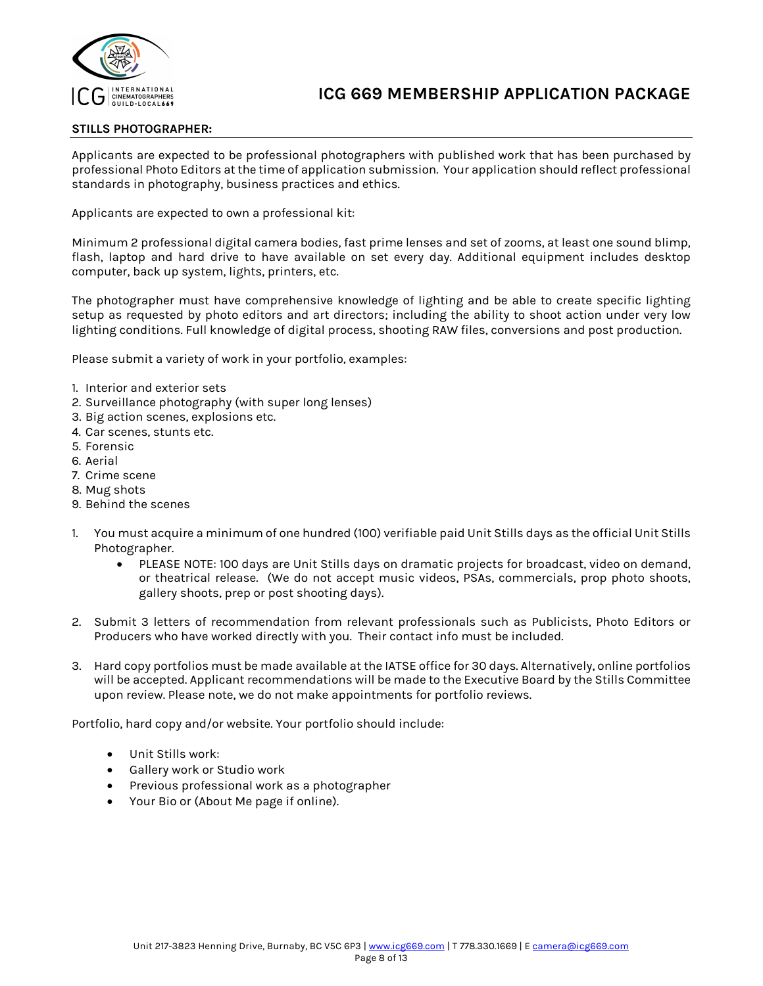

## **STILLS PHOTOGRAPHER:**

Applicants are expected to be professional photographers with published work that has been purchased by professional Photo Editors at the time of application submission. Your application should reflect professional standards in photography, business practices and ethics.

Applicants are expected to own a professional kit:

Minimum 2 professional digital camera bodies, fast prime lenses and set of zooms, at least one sound blimp, flash, laptop and hard drive to have available on set every day. Additional equipment includes desktop computer, back up system, lights, printers, etc.

The photographer must have comprehensive knowledge of lighting and be able to create specific lighting setup as requested by photo editors and art directors; including the ability to shoot action under very low lighting conditions. Full knowledge of digital process, shooting RAW files, conversions and post production.

Please submit a variety of work in your portfolio, examples:

- 1. Interior and exterior sets
- 2. Surveillance photography (with super long lenses)
- 3. Big action scenes, explosions etc.
- 4. Car scenes, stunts etc.
- 5. Forensic
- 6. Aerial
- 7. Crime scene
- 8. Mug shots
- 9. Behind the scenes
- 1. You must acquire a minimum of one hundred (100) verifiable paid Unit Stills days as the official Unit Stills Photographer.
	- PLEASE NOTE: 100 days are Unit Stills days on dramatic projects for broadcast, video on demand, or theatrical release. (We do not accept music videos, PSAs, commercials, prop photo shoots, gallery shoots, prep or post shooting days).
- 2. Submit 3 letters of recommendation from relevant professionals such as Publicists, Photo Editors or Producers who have worked directly with you. Their contact info must be included.
- 3. Hard copy portfolios must be made available at the IATSE office for 30 days. Alternatively, online portfolios will be accepted. Applicant recommendations will be made to the Executive Board by the Stills Committee upon review. Please note, we do not make appointments for portfolio reviews.

Portfolio, hard copy and/or website. Your portfolio should include:

- Unit Stills work:
- Gallery work or Studio work
- Previous professional work as a photographer
- Your Bio or (About Me page if online).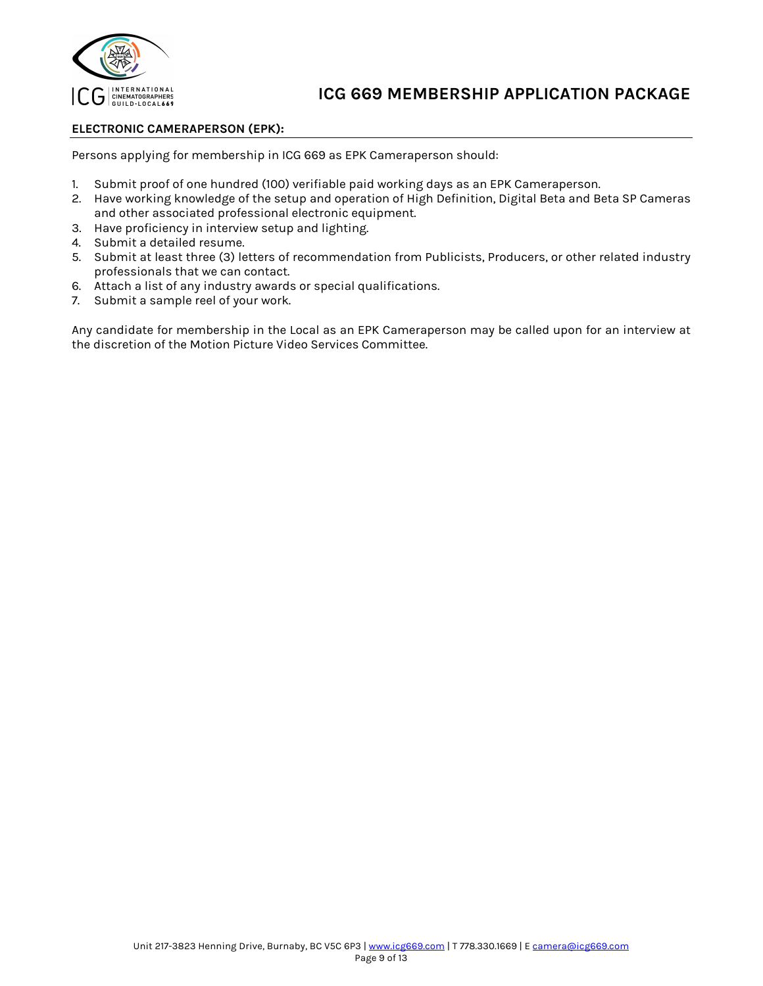

## **ELECTRONIC CAMERAPERSON (EPK):**

Persons applying for membership in ICG 669 as EPK Cameraperson should:

- 1. Submit proof of one hundred (100) verifiable paid working days as an EPK Cameraperson.
- 2. Have working knowledge of the setup and operation of High Definition, Digital Beta and Beta SP Cameras and other associated professional electronic equipment.
- 3. Have proficiency in interview setup and lighting.
- 4. Submit a detailed resume.
- 5. Submit at least three (3) letters of recommendation from Publicists, Producers, or other related industry professionals that we can contact.
- 6. Attach a list of any industry awards or special qualifications.
- 7. Submit a sample reel of your work.

Any candidate for membership in the Local as an EPK Cameraperson may be called upon for an interview at the discretion of the Motion Picture Video Services Committee.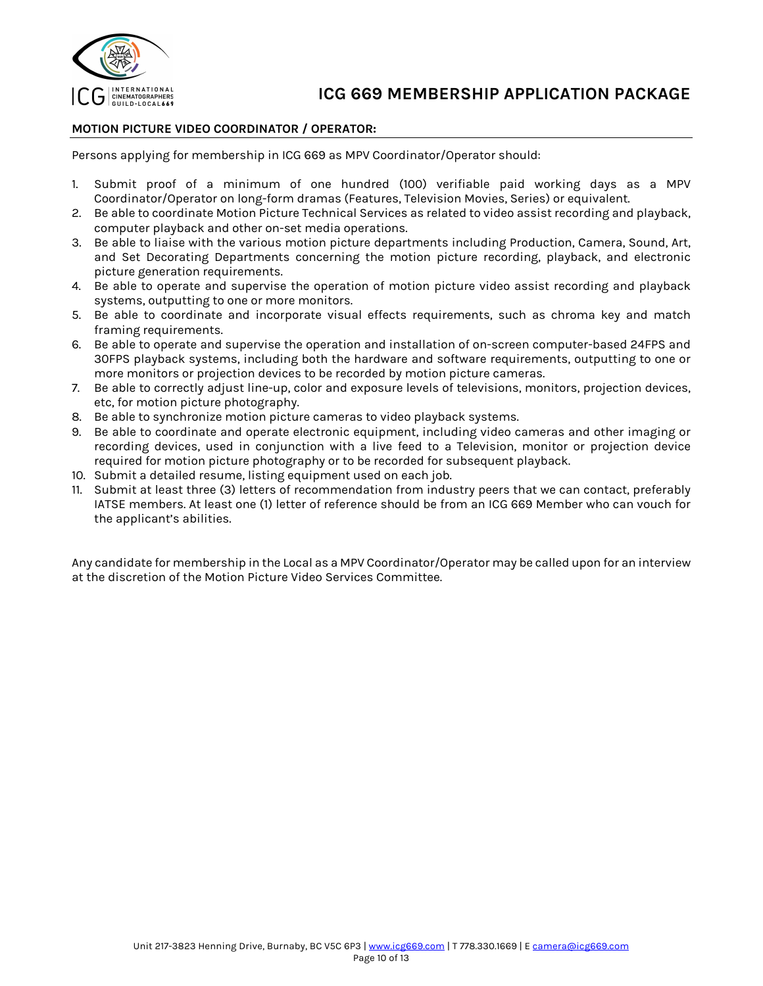

## **MOTION PICTURE VIDEO COORDINATOR / OPERATOR:**

Persons applying for membership in ICG 669 as MPV Coordinator/Operator should:

- 1. Submit proof of a minimum of one hundred (100) verifiable paid working days as a MPV Coordinator/Operator on long-form dramas (Features, Television Movies, Series) or equivalent.
- 2. Be able to coordinate Motion Picture Technical Services as related to video assist recording and playback, computer playback and other on-set media operations.
- 3. Be able to liaise with the various motion picture departments including Production, Camera, Sound, Art, and Set Decorating Departments concerning the motion picture recording, playback, and electronic picture generation requirements.
- 4. Be able to operate and supervise the operation of motion picture video assist recording and playback systems, outputting to one or more monitors.
- 5. Be able to coordinate and incorporate visual effects requirements, such as chroma key and match framing requirements.
- 6. Be able to operate and supervise the operation and installation of on-screen computer-based 24FPS and 30FPS playback systems, including both the hardware and software requirements, outputting to one or more monitors or projection devices to be recorded by motion picture cameras.
- 7. Be able to correctly adjust line-up, color and exposure levels of televisions, monitors, projection devices, etc, for motion picture photography.
- 8. Be able to synchronize motion picture cameras to video playback systems.
- 9. Be able to coordinate and operate electronic equipment, including video cameras and other imaging or recording devices, used in conjunction with a live feed to a Television, monitor or projection device required for motion picture photography or to be recorded for subsequent playback.
- 10. Submit a detailed resume, listing equipment used on each job.
- 11. Submit at least three (3) letters of recommendation from industry peers that we can contact, preferably IATSE members. At least one (1) letter of reference should be from an ICG 669 Member who can vouch for the applicant's abilities.

Any candidate for membership in the Local as a MPV Coordinator/Operator may be called upon for an interview at the discretion of the Motion Picture Video Services Committee.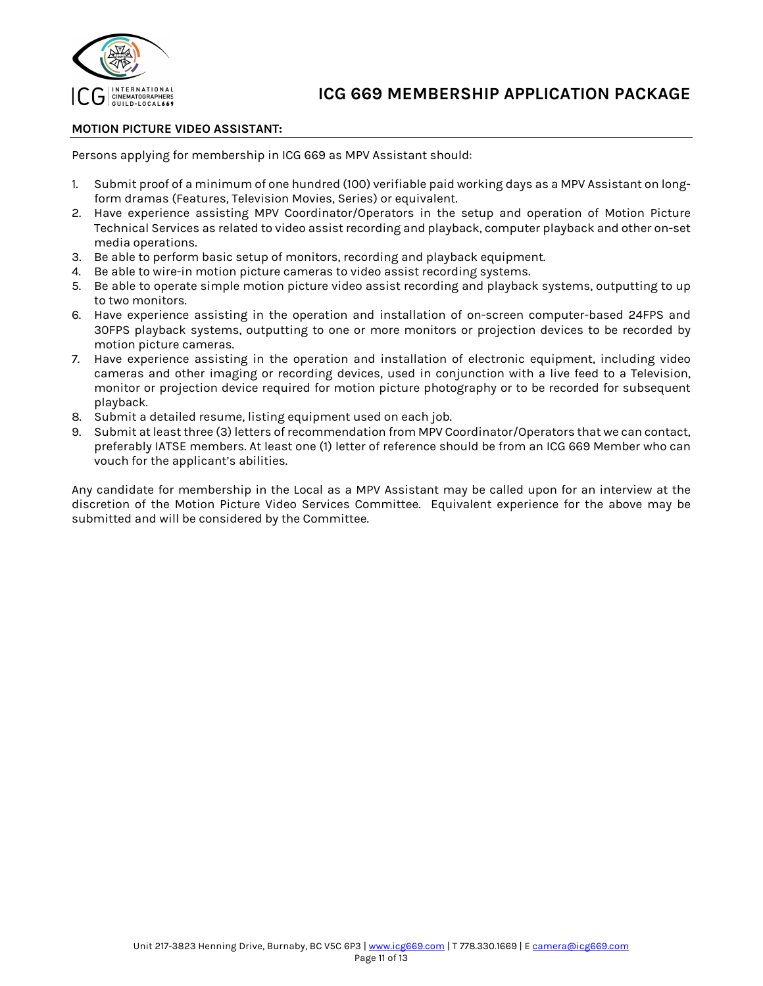

## **MOTION PICTURE VIDEO ASSISTANT:**

Persons applying for membership in ICG 669 as MPV Assistant should:

- 1. Submit proof of a minimum of one hundred (100) verifiable paid working days as a MPV Assistant on longform dramas (Features, Television Movies, Series) or equivalent.
- 2. Have experience assisting MPV Coordinator/Operators in the setup and operation of Motion Picture Technical Services as related to video assist recording and playback, computer playback and other on-set media operations.
- 3. Be able to perform basic setup of monitors, recording and playback equipment.
- 4. Be able to wire-in motion picture cameras to video assist recording systems.
- 5. Be able to operate simple motion picture video assist recording and playback systems, outputting to up to two monitors.
- 6. Have experience assisting in the operation and installation of on-screen computer-based 24FPS and 30FPS playback systems, outputting to one or more monitors or projection devices to be recorded by motion picture cameras.
- 7. Have experience assisting in the operation and installation of electronic equipment, including video cameras and other imaging or recording devices, used in conjunction with a live feed to a Television, monitor or projection device required for motion picture photography or to be recorded for subsequent playback.
- 8. Submit a detailed resume, listing equipment used on each job.
- 9. Submit at least three (3) letters of recommendation from MPV Coordinator/Operators that we can contact, preferably IATSE members. At least one (1) letter of reference should be from an ICG 669 Member who can vouch for the applicant's abilities.

Any candidate for membership in the Local as a MPV Assistant may be called upon for an interview at the discretion of the Motion Picture Video Services Committee. Equivalent experience for the above may be submitted and will be considered by the Committee.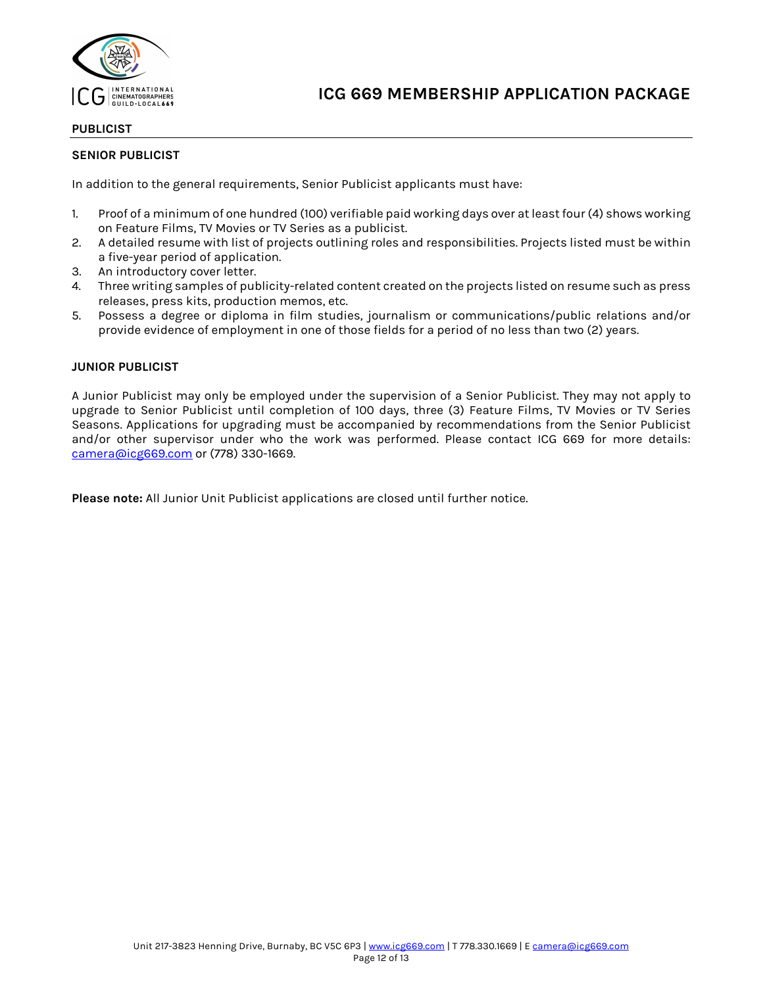

## **PUBLICIST**

## **SENIOR PUBLICIST**

In addition to the general requirements, Senior Publicist applicants must have:

- 1. Proof of a minimum of one hundred (100) verifiable paid working days over at least four (4) shows working on Feature Films, TV Movies or TV Series as a publicist.
- 2. A detailed resume with list of projects outlining roles and responsibilities. Projects listed must be within a five-year period of application.
- 3. An introductory cover letter.
- 4. Three writing samples of publicity-related content created on the projects listed on resume such as press releases, press kits, production memos, etc.
- 5. Possess a degree or diploma in film studies, journalism or communications/public relations and/or provide evidence of employment in one of those fields for a period of no less than two (2) years.

#### **JUNIOR PUBLICIST**

A Junior Publicist may only be employed under the supervision of a Senior Publicist. They may not apply to upgrade to Senior Publicist until completion of 100 days, three (3) Feature Films, TV Movies or TV Series Seasons. Applications for upgrading must be accompanied by recommendations from the Senior Publicist and/or other supervisor under who the work was performed. Please contact ICG 669 for more details: camera@icg669.com or (778) 330-1669.

**Please note:** All Junior Unit Publicist applications are closed until further notice.